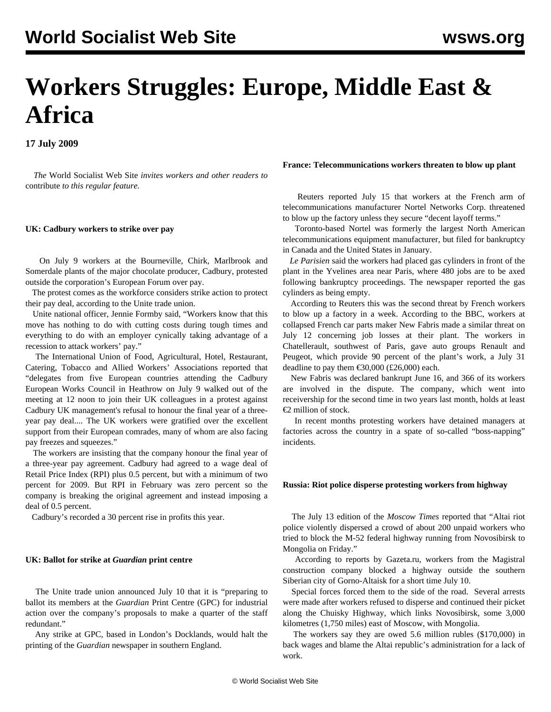# **Workers Struggles: Europe, Middle East & Africa**

**17 July 2009**

 *The* World Socialist Web Site *invites workers and other readers to* [contribute](/wsws/dd-formmailer/dd-formmailer.php) *to this regular feature.*

## **UK: Cadbury workers to strike over pay**

 On July 9 workers at the Bourneville, Chirk, Marlbrook and Somerdale plants of the major chocolate producer, Cadbury, protested outside the corporation's European Forum over pay.

 The protest comes as the workforce considers strike action to protect their pay deal, according to the Unite trade union.

 Unite national officer, Jennie Formby said, "Workers know that this move has nothing to do with cutting costs during tough times and everything to do with an employer cynically taking advantage of a recession to attack workers' pay."

 The International Union of Food, Agricultural, Hotel, Restaurant, Catering, Tobacco and Allied Workers' Associations reported that "delegates from five European countries attending the Cadbury European Works Council in Heathrow on July 9 walked out of the meeting at 12 noon to join their UK colleagues in a protest against Cadbury UK management's refusal to honour the final year of a threeyear pay deal.... The UK workers were gratified over the excellent support from their European comrades, many of whom are also facing pay freezes and squeezes."

 The workers are insisting that the company honour the final year of a three-year pay agreement. Cadbury had agreed to a wage deal of Retail Price Index (RPI) plus 0.5 percent, but with a minimum of two percent for 2009. But RPI in February was zero percent so the company is breaking the original agreement and instead imposing a deal of 0.5 percent.

Cadbury's recorded a 30 percent rise in profits this year.

## **UK: Ballot for strike at** *Guardian* **print centre**

 The Unite trade union announced July 10 that it is "preparing to ballot its members at the *Guardian* Print Centre (GPC) for industrial action over the company's proposals to make a quarter of the staff redundant."

 Any strike at GPC, based in London's Docklands, would halt the printing of the *Guardian* newspaper in southern England.

### **France: Telecommunications workers threaten to blow up plant**

 Reuters reported July 15 that workers at the French arm of telecommunications manufacturer Nortel Networks Corp. threatened to blow up the factory unless they secure "decent layoff terms."

 Toronto-based Nortel was formerly the largest North American telecommunications equipment manufacturer, but filed for bankruptcy in Canada and the United States in January.

 *Le Parisien* said the workers had placed gas cylinders in front of the plant in the Yvelines area near Paris, where 480 jobs are to be axed following bankruptcy proceedings. The newspaper reported the gas cylinders as being empty.

 According to Reuters this was the second threat by French workers to blow up a factory in a week. According to the BBC, workers at collapsed French car parts maker New Fabris made a similar threat on July 12 concerning job losses at their plant. The workers in Chatellerault, southwest of Paris, gave auto groups Renault and Peugeot, which provide 90 percent of the plant's work, a July 31 deadline to pay them  $\epsilon$ 30,000 (£26,000) each.

 New Fabris was declared bankrupt June 16, and 366 of its workers are involved in the dispute. The company, which went into receivership for the second time in two years last month, holds at least €2 million of stock.

 In recent months protesting workers have detained managers at factories across the country in a spate of so-called "boss-napping" incidents.

# **Russia: Riot police disperse protesting workers from highway**

 The July 13 edition of the *Moscow Times* reported that "Altai riot police violently dispersed a crowd of about 200 unpaid workers who tried to block the M-52 federal highway running from Novosibirsk to Mongolia on Friday."

 According to reports by Gazeta.ru, workers from the Magistral construction company blocked a highway outside the southern Siberian city of Gorno-Altaisk for a short time July 10.

 Special forces forced them to the side of the road. Several arrests were made after workers refused to disperse and continued their picket along the Chuisky Highway, which links Novosibirsk, some 3,000 kilometres (1,750 miles) east of Moscow, with Mongolia.

 The workers say they are owed 5.6 million rubles (\$170,000) in back wages and blame the Altai republic's administration for a lack of work.